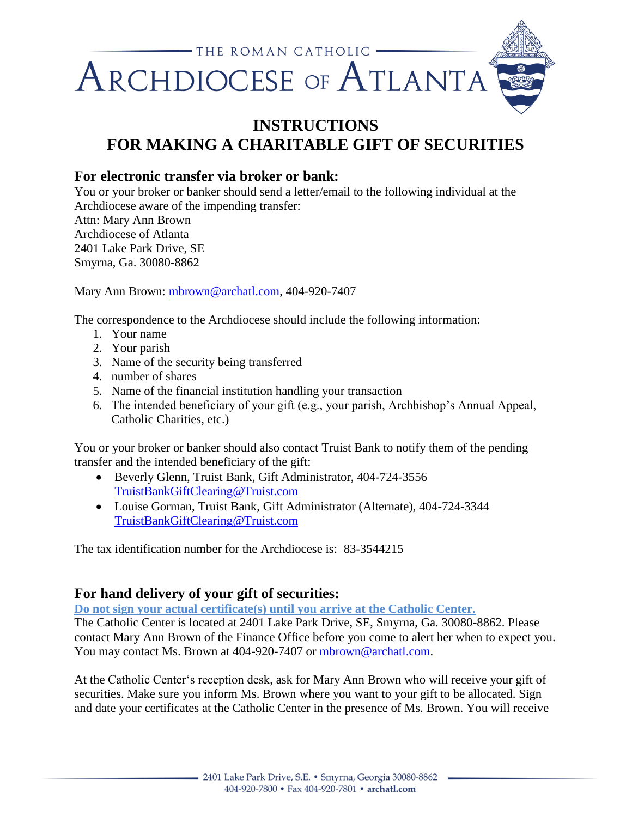

## **INSTRUCTIONS FOR MAKING A CHARITABLE GIFT OF SECURITIES**

## **For electronic transfer via broker or bank:**

You or your broker or banker should send a letter/email to the following individual at the Archdiocese aware of the impending transfer:

Attn: Mary Ann Brown Archdiocese of Atlanta 2401 Lake Park Drive, SE Smyrna, Ga. 30080-8862

Mary Ann Brown: [mbrown@archatl.com,](mailto:mbrown@archatl.com) 404-920-7407

The correspondence to the Archdiocese should include the following information:

- 1. Your name
- 2. Your parish
- 3. Name of the security being transferred
- 4. number of shares
- 5. Name of the financial institution handling your transaction
- 6. The intended beneficiary of your gift (e.g., your parish, Archbishop's Annual Appeal, Catholic Charities, etc.)

You or your broker or banker should also contact Truist Bank to notify them of the pending transfer and the intended beneficiary of the gift:

- Beverly Glenn, Truist Bank, Gift Administrator, 404-724-3556 [TruistBankGiftClearing@Truist.com](mailto:TruistBankGiftClearing@Truist.com)
- Louise Gorman, Truist Bank, Gift Administrator (Alternate), 404-724-3344 [TruistBankGiftClearing@Truist.com](mailto:TruistBankGiftClearing@Truist.com)

The tax identification number for the Archdiocese is: 83-3544215

## **For hand delivery of your gift of securities:**

**Do not sign your actual certificate(s) until you arrive at the Catholic Center.** 

The Catholic Center is located at 2401 Lake Park Drive, SE, Smyrna, Ga. 30080-8862. Please contact Mary Ann Brown of the Finance Office before you come to alert her when to expect you. You may contact Ms. Brown at 404-920-7407 or [mbrown@archatl.com.](mailto:mbrown@archatl.com)

At the Catholic Center's reception desk, ask for Mary Ann Brown who will receive your gift of securities. Make sure you inform Ms. Brown where you want to your gift to be allocated. Sign and date your certificates at the Catholic Center in the presence of Ms. Brown. You will receive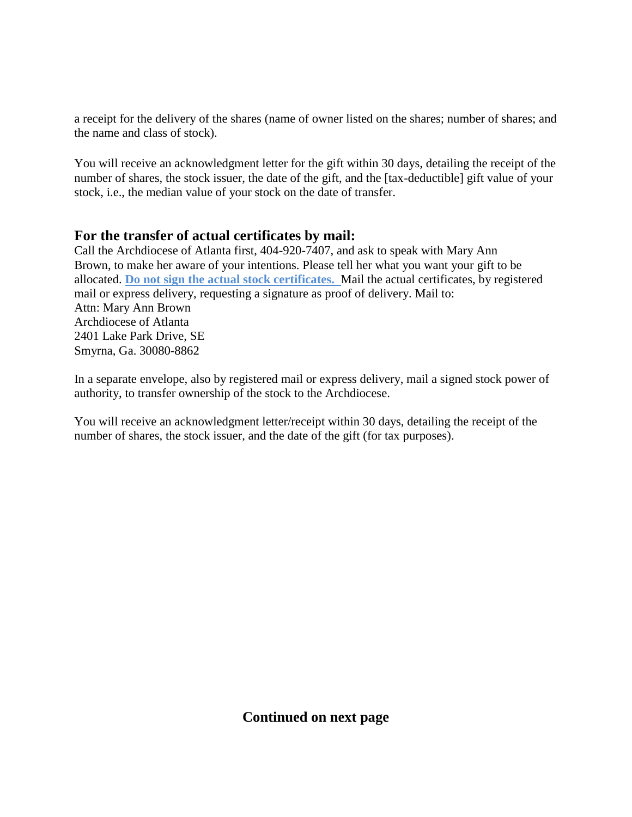a receipt for the delivery of the shares (name of owner listed on the shares; number of shares; and the name and class of stock).

You will receive an acknowledgment letter for the gift within 30 days, detailing the receipt of the number of shares, the stock issuer, the date of the gift, and the [tax-deductible] gift value of your stock, i.e., the median value of your stock on the date of transfer.

## **For the transfer of actual certificates by mail:**

Call the Archdiocese of Atlanta first, 404-920-7407, and ask to speak with Mary Ann Brown, to make her aware of your intentions. Please tell her what you want your gift to be allocated. **Do not sign the actual stock certificates.** Mail the actual certificates, by registered mail or express delivery, requesting a signature as proof of delivery. Mail to: Attn: Mary Ann Brown Archdiocese of Atlanta 2401 Lake Park Drive, SE Smyrna, Ga. 30080-8862

In a separate envelope, also by registered mail or express delivery, mail a signed stock power of authority, to transfer ownership of the stock to the Archdiocese.

You will receive an acknowledgment letter/receipt within 30 days, detailing the receipt of the number of shares, the stock issuer, and the date of the gift (for tax purposes).

**Continued on next page**